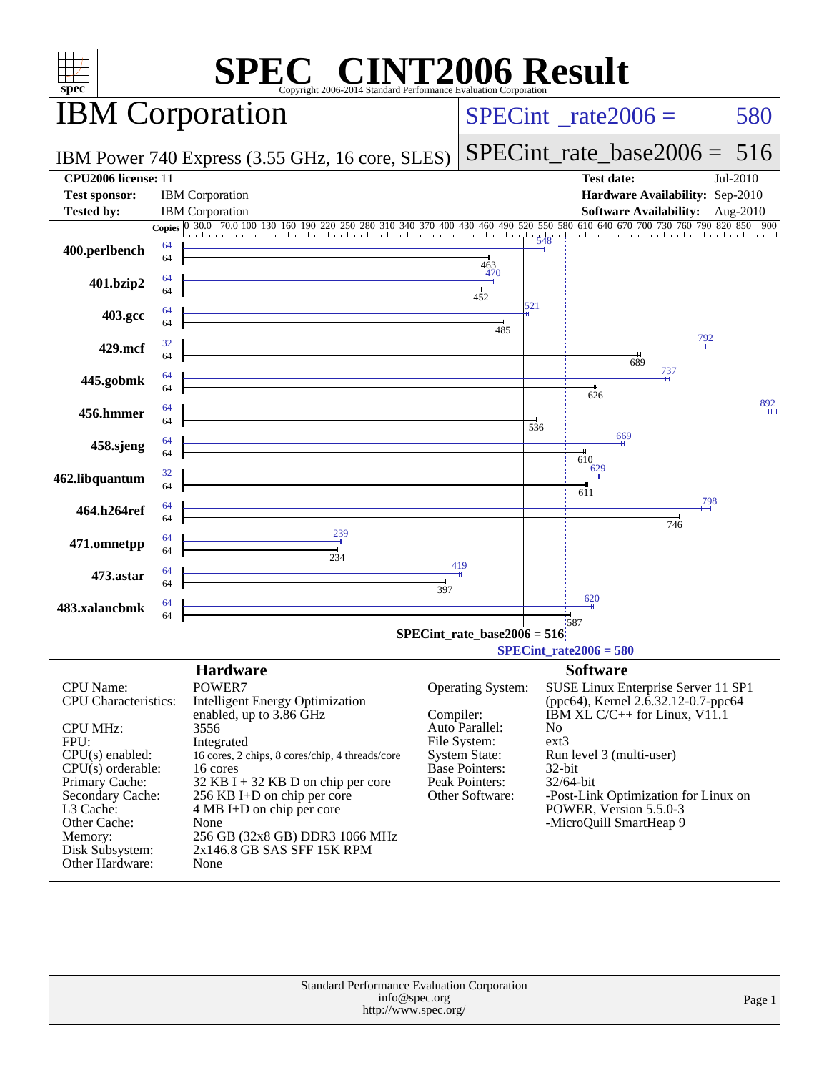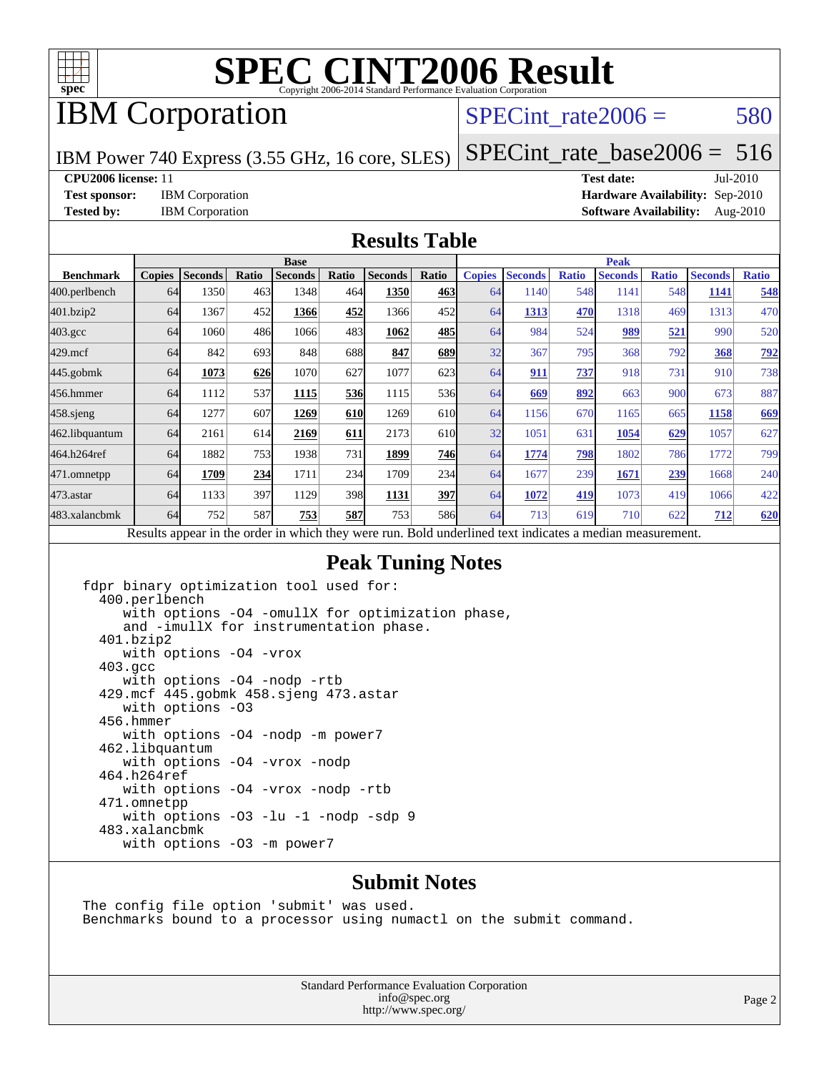

## IBM Corporation

#### SPECint rate $2006 = 580$

IBM Power 740 Express (3.55 GHz, 16 core, SLES)

[SPECint\\_rate\\_base2006 =](http://www.spec.org/auto/cpu2006/Docs/result-fields.html#SPECintratebase2006) 516

**[CPU2006 license:](http://www.spec.org/auto/cpu2006/Docs/result-fields.html#CPU2006license)** 11 **[Test date:](http://www.spec.org/auto/cpu2006/Docs/result-fields.html#Testdate)** Jul-2010

**[Test sponsor:](http://www.spec.org/auto/cpu2006/Docs/result-fields.html#Testsponsor)** IBM Corporation **[Hardware Availability:](http://www.spec.org/auto/cpu2006/Docs/result-fields.html#HardwareAvailability)** Sep-2010 **[Tested by:](http://www.spec.org/auto/cpu2006/Docs/result-fields.html#Testedby)** IBM Corporation **[Software Availability:](http://www.spec.org/auto/cpu2006/Docs/result-fields.html#SoftwareAvailability)** Aug-2010

#### **[Results Table](http://www.spec.org/auto/cpu2006/Docs/result-fields.html#ResultsTable)**

|                    | <b>Base</b>   |                |       |                                                                                                          |            |                |            | <b>Peak</b>   |                |              |                |              |                |              |
|--------------------|---------------|----------------|-------|----------------------------------------------------------------------------------------------------------|------------|----------------|------------|---------------|----------------|--------------|----------------|--------------|----------------|--------------|
| <b>Benchmark</b>   | <b>Copies</b> | <b>Seconds</b> | Ratio | <b>Seconds</b>                                                                                           | Ratio      | <b>Seconds</b> | Ratio      | <b>Copies</b> | <b>Seconds</b> | <b>Ratio</b> | <b>Seconds</b> | <b>Ratio</b> | <b>Seconds</b> | <b>Ratio</b> |
| 400.perlbench      | 64            | 1350           | 463   | 1348                                                                                                     | 464        | 1350           | 463        | 64            | 1140           | 548          | 1141           | 548          | 1141           | 548          |
| 401.bzip2          | 64            | 1367           | 452   | 1366                                                                                                     | 452        | 1366           | 452l       | 64            | 1313           | 470          | 1318           | 469          | 1313           | 470          |
| $403.\mathrm{gcc}$ | 64            | 1060           | 486   | 1066                                                                                                     | 483        | 1062           | 485        | 64            | 984            | 524          | 989            | 521          | 990            | 520          |
| $429$ .mcf         | 64            | 842            | 693   | 848                                                                                                      | 688        | 847            | 689        | 32            | 367            | 795          | 368            | 792          | 368            | <u>792</u>   |
| $445$ .gobmk       | 64            | 1073           | 626   | 1070                                                                                                     | 627        | 1077           | 623        | 64            | 911            | 737          | 918            | 731          | 910            | 738          |
| 456.hmmer          | 64            | 1112           | 537   | 1115                                                                                                     | 536        | 1115           | 536        | 64            | 669            | 892          | 663            | 900          | 673            | 887          |
| $458$ .sjeng       | 64            | 1277           | 607   | 1269                                                                                                     | <b>610</b> | 1269           | 610        | 64            | 1156           | 670          | 1165           | 665          | 1158           | 669          |
| 462.libquantum     | 64            | 2161           | 614   | 2169                                                                                                     | 611        | 2173           | 610        | 32            | 1051           | 631          | 1054           | 629          | 1057           | 627          |
| 464.h264ref        | 64            | 1882           | 753   | 1938                                                                                                     | 731        | 1899           | 746        | 64            | 1774           | 798          | 1802           | 786          | 1772           | 799          |
| 471.omnetpp        | 64            | 1709           | 234   | 1711                                                                                                     | 234        | 1709           | 234        | 64            | 1677           | 239          | 1671           | <u>239</u>   | 1668           | 240          |
| $473$ . astar      | 64            | 1133           | 397   | 1129                                                                                                     | 398        | 1131           | <u>397</u> | 64            | 1072           | 419          | 1073           | 419          | 1066           | 422          |
| 483.xalancbmk      | 64            | 752            | 587   | 753                                                                                                      | 587        | 753            | 586        | 64            | 713            | 619          | 710            | 622          | 712            | 620          |
|                    |               |                |       | Results appear in the order in which they were run. Bold underlined text indicates a median measurement. |            |                |            |               |                |              |                |              |                |              |

#### **[Peak Tuning Notes](http://www.spec.org/auto/cpu2006/Docs/result-fields.html#PeakTuningNotes)**

fdpr binary optimization tool used for: 400.perlbench with options -O4 -omullX for optimization phase, and -imullX for instrumentation phase. 401.bzip2 with options -O4 -vrox 403.gcc with options -O4 -nodp -rtb 429.mcf 445.gobmk 458.sjeng 473.astar with options -O3 456.hmmer with options -O4 -nodp -m power7 462.libquantum with options -O4 -vrox -nodp 464.h264ref with options -O4 -vrox -nodp -rtb 471.omnetpp with options -O3 -lu -1 -nodp -sdp 9 483.xalancbmk with options -O3 -m power7

#### **[Submit Notes](http://www.spec.org/auto/cpu2006/Docs/result-fields.html#SubmitNotes)**

The config file option 'submit' was used. Benchmarks bound to a processor using numactl on the submit command.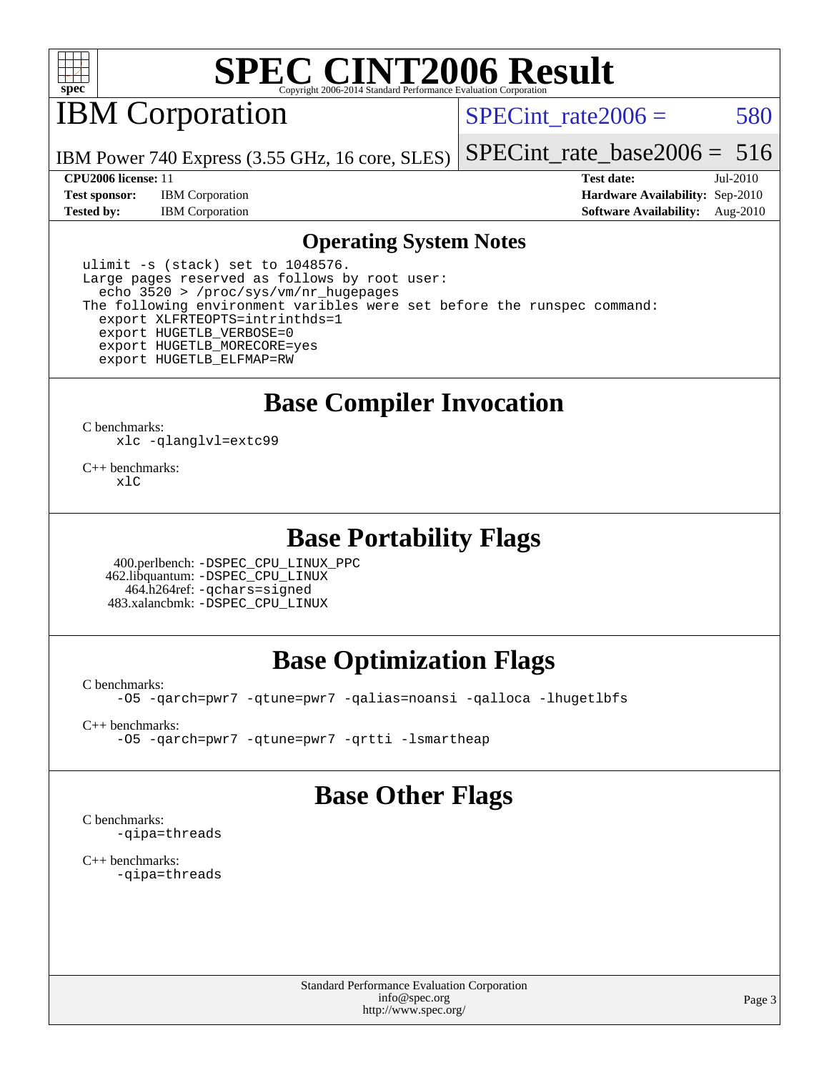

IBM Corporation

SPECint rate $2006 = 580$ 

[SPECint\\_rate\\_base2006 =](http://www.spec.org/auto/cpu2006/Docs/result-fields.html#SPECintratebase2006) 516

IBM Power 740 Express (3.55 GHz, 16 core, SLES)

**[Test sponsor:](http://www.spec.org/auto/cpu2006/Docs/result-fields.html#Testsponsor)** IBM Corporation **[Hardware Availability:](http://www.spec.org/auto/cpu2006/Docs/result-fields.html#HardwareAvailability)** Sep-2010

**[CPU2006 license:](http://www.spec.org/auto/cpu2006/Docs/result-fields.html#CPU2006license)** 11 **[Test date:](http://www.spec.org/auto/cpu2006/Docs/result-fields.html#Testdate)** Jul-2010 **[Tested by:](http://www.spec.org/auto/cpu2006/Docs/result-fields.html#Testedby)** IBM Corporation **[Software Availability:](http://www.spec.org/auto/cpu2006/Docs/result-fields.html#SoftwareAvailability)** Aug-2010

#### **[Operating System Notes](http://www.spec.org/auto/cpu2006/Docs/result-fields.html#OperatingSystemNotes)**

ulimit -s (stack) set to 1048576. Large pages reserved as follows by root user: echo 3520 > /proc/sys/vm/nr\_hugepages The following environment varibles were set before the runspec command: export XLFRTEOPTS=intrinthds=1 export HUGETLB\_VERBOSE=0 export HUGETLB\_MORECORE=yes export HUGETLB\_ELFMAP=RW

**[Base Compiler Invocation](http://www.spec.org/auto/cpu2006/Docs/result-fields.html#BaseCompilerInvocation)**

[C benchmarks](http://www.spec.org/auto/cpu2006/Docs/result-fields.html#Cbenchmarks): [xlc](http://www.spec.org/cpu2006/results/res2010q3/cpu2006-20100813-12915.flags.html#user_CCbase_lop_xlc_cb830c62d8c5afa02afc9a00d51528b3) [-qlanglvl=extc99](http://www.spec.org/cpu2006/results/res2010q3/cpu2006-20100813-12915.flags.html#user_CCbase_F-qlanglvl:extc99)

[C++ benchmarks:](http://www.spec.org/auto/cpu2006/Docs/result-fields.html#CXXbenchmarks)  $x \mid C$ 

#### **[Base Portability Flags](http://www.spec.org/auto/cpu2006/Docs/result-fields.html#BasePortabilityFlags)**

 400.perlbench: [-DSPEC\\_CPU\\_LINUX\\_PPC](http://www.spec.org/cpu2006/results/res2010q3/cpu2006-20100813-12915.flags.html#b400.perlbench_baseCPORTABILITY_DSPEC_CPU_LINUX_PPC) 462.libquantum: [-DSPEC\\_CPU\\_LINUX](http://www.spec.org/cpu2006/results/res2010q3/cpu2006-20100813-12915.flags.html#b462.libquantum_baseCPORTABILITY_DSPEC_CPU_LINUX) 464.h264ref: [-qchars=signed](http://www.spec.org/cpu2006/results/res2010q3/cpu2006-20100813-12915.flags.html#user_baseCPORTABILITY464_h264ref_F-qchars:signed) 483.xalancbmk: [-DSPEC\\_CPU\\_LINUX](http://www.spec.org/cpu2006/results/res2010q3/cpu2006-20100813-12915.flags.html#b483.xalancbmk_baseCXXPORTABILITY_DSPEC_CPU_LINUX)

## **[Base Optimization Flags](http://www.spec.org/auto/cpu2006/Docs/result-fields.html#BaseOptimizationFlags)**

[C benchmarks](http://www.spec.org/auto/cpu2006/Docs/result-fields.html#Cbenchmarks):

[-O5](http://www.spec.org/cpu2006/results/res2010q3/cpu2006-20100813-12915.flags.html#user_CCbase_F-O5_c247b43c34dbf7164d22e1dc7d84032c) [-qarch=pwr7](http://www.spec.org/cpu2006/results/res2010q3/cpu2006-20100813-12915.flags.html#user_CCbase_F-qarch_4e747dc410d712c3c2baccf98fad5350) [-qtune=pwr7](http://www.spec.org/cpu2006/results/res2010q3/cpu2006-20100813-12915.flags.html#user_CCbase_F-qtune_79e8bcc3020246a4cc9e9eb94b19de7d) [-qalias=noansi](http://www.spec.org/cpu2006/results/res2010q3/cpu2006-20100813-12915.flags.html#user_CCbase_F-qalias_d4651b1508cf3a15da259e82b527180c) [-qalloca](http://www.spec.org/cpu2006/results/res2010q3/cpu2006-20100813-12915.flags.html#user_CCbase_F-qalloca) [-lhugetlbfs](http://www.spec.org/cpu2006/results/res2010q3/cpu2006-20100813-12915.flags.html#user_CCbase_F-lhugetlbfs)

[C++ benchmarks:](http://www.spec.org/auto/cpu2006/Docs/result-fields.html#CXXbenchmarks)

[-O5](http://www.spec.org/cpu2006/results/res2010q3/cpu2006-20100813-12915.flags.html#user_CXXbase_F-O5_c247b43c34dbf7164d22e1dc7d84032c) [-qarch=pwr7](http://www.spec.org/cpu2006/results/res2010q3/cpu2006-20100813-12915.flags.html#user_CXXbase_F-qarch_4e747dc410d712c3c2baccf98fad5350) [-qtune=pwr7](http://www.spec.org/cpu2006/results/res2010q3/cpu2006-20100813-12915.flags.html#user_CXXbase_F-qtune_79e8bcc3020246a4cc9e9eb94b19de7d) [-qrtti](http://www.spec.org/cpu2006/results/res2010q3/cpu2006-20100813-12915.flags.html#user_CXXbase_F-qrtti) [-lsmartheap](http://www.spec.org/cpu2006/results/res2010q3/cpu2006-20100813-12915.flags.html#user_CXXbase_F-lsmartheap)

#### **[Base Other Flags](http://www.spec.org/auto/cpu2006/Docs/result-fields.html#BaseOtherFlags)**

[C benchmarks](http://www.spec.org/auto/cpu2006/Docs/result-fields.html#Cbenchmarks): [-qipa=threads](http://www.spec.org/cpu2006/results/res2010q3/cpu2006-20100813-12915.flags.html#user_CCbase_F-qipa:threads_603896b7ba2615a272e7bb50a99fbe27)

[C++ benchmarks:](http://www.spec.org/auto/cpu2006/Docs/result-fields.html#CXXbenchmarks) [-qipa=threads](http://www.spec.org/cpu2006/results/res2010q3/cpu2006-20100813-12915.flags.html#user_CXXbase_F-qipa:threads_603896b7ba2615a272e7bb50a99fbe27)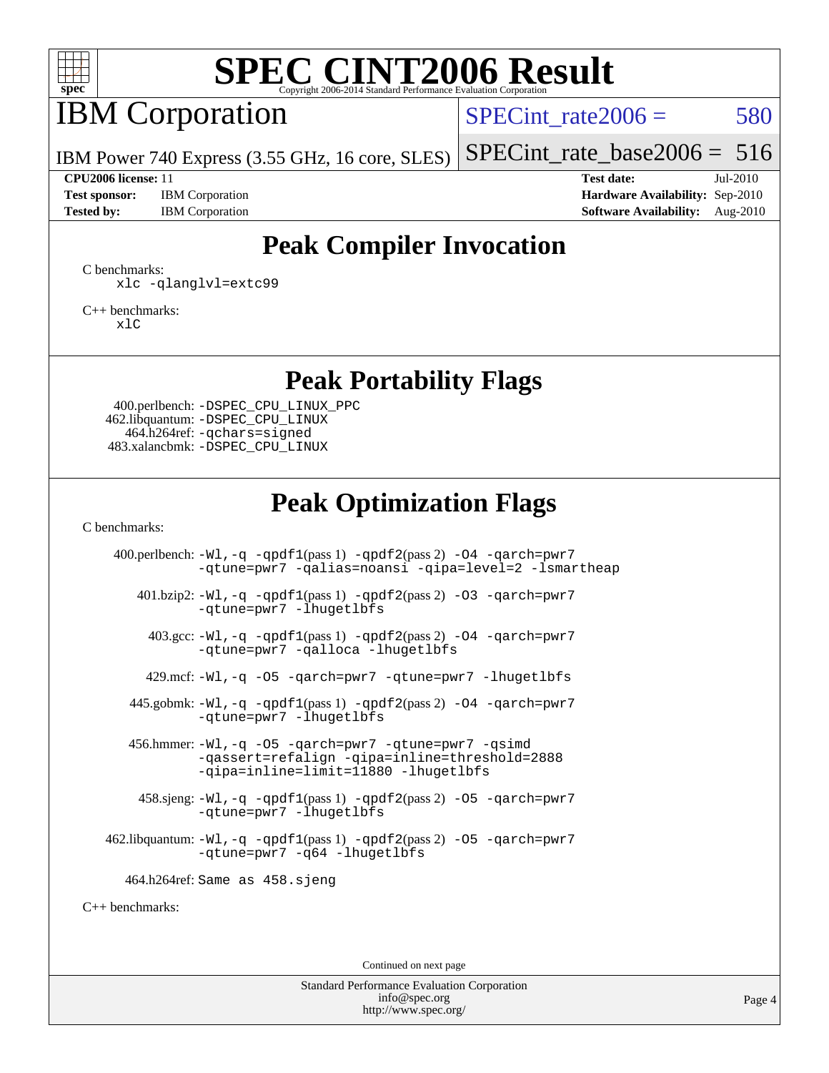

## IBM Corporation

SPECint rate $2006 = 580$ 

IBM Power 740 Express (3.55 GHz, 16 core, SLES)

**[Test sponsor:](http://www.spec.org/auto/cpu2006/Docs/result-fields.html#Testsponsor)** IBM Corporation **[Hardware Availability:](http://www.spec.org/auto/cpu2006/Docs/result-fields.html#HardwareAvailability)** Sep-2010

[SPECint\\_rate\\_base2006 =](http://www.spec.org/auto/cpu2006/Docs/result-fields.html#SPECintratebase2006)  $516$ **[CPU2006 license:](http://www.spec.org/auto/cpu2006/Docs/result-fields.html#CPU2006license)** 11 **[Test date:](http://www.spec.org/auto/cpu2006/Docs/result-fields.html#Testdate)** Jul-2010

[Tested by:](http://www.spec.org/auto/cpu2006/Docs/result-fields.html#Testedby) IBM Corporation **[Software Availability:](http://www.spec.org/auto/cpu2006/Docs/result-fields.html#SoftwareAvailability)** Aug-2010

#### **[Peak Compiler Invocation](http://www.spec.org/auto/cpu2006/Docs/result-fields.html#PeakCompilerInvocation)**

[C benchmarks](http://www.spec.org/auto/cpu2006/Docs/result-fields.html#Cbenchmarks): [xlc](http://www.spec.org/cpu2006/results/res2010q3/cpu2006-20100813-12915.flags.html#user_CCpeak_lop_xlc_cb830c62d8c5afa02afc9a00d51528b3) [-qlanglvl=extc99](http://www.spec.org/cpu2006/results/res2010q3/cpu2006-20100813-12915.flags.html#user_CCpeak_F-qlanglvl:extc99)

[C++ benchmarks:](http://www.spec.org/auto/cpu2006/Docs/result-fields.html#CXXbenchmarks) [xlC](http://www.spec.org/cpu2006/results/res2010q3/cpu2006-20100813-12915.flags.html#user_CXXpeak_lop_xlcpp_d61f9d8073d2f9cc5f1a8af9f9190e03)

#### **[Peak Portability Flags](http://www.spec.org/auto/cpu2006/Docs/result-fields.html#PeakPortabilityFlags)**

 400.perlbench: [-DSPEC\\_CPU\\_LINUX\\_PPC](http://www.spec.org/cpu2006/results/res2010q3/cpu2006-20100813-12915.flags.html#b400.perlbench_peakCPORTABILITY_DSPEC_CPU_LINUX_PPC) 462.libquantum: [-DSPEC\\_CPU\\_LINUX](http://www.spec.org/cpu2006/results/res2010q3/cpu2006-20100813-12915.flags.html#b462.libquantum_peakCPORTABILITY_DSPEC_CPU_LINUX) 464.h264ref: [-qchars=signed](http://www.spec.org/cpu2006/results/res2010q3/cpu2006-20100813-12915.flags.html#user_peakCPORTABILITY464_h264ref_F-qchars:signed) 483.xalancbmk: [-DSPEC\\_CPU\\_LINUX](http://www.spec.org/cpu2006/results/res2010q3/cpu2006-20100813-12915.flags.html#b483.xalancbmk_peakCXXPORTABILITY_DSPEC_CPU_LINUX)

#### **[Peak Optimization Flags](http://www.spec.org/auto/cpu2006/Docs/result-fields.html#PeakOptimizationFlags)**

[C benchmarks](http://www.spec.org/auto/cpu2006/Docs/result-fields.html#Cbenchmarks):

400.perlbench:  $-Wl$ ,  $-q$   $-qpdf1(pass 1)$  $-qpdf1(pass 1)$   $-qpdf2(pass 2)$  $-qpdf2(pass 2)$   $-04$   $-qarch=pwr7$ [-qtune=pwr7](http://www.spec.org/cpu2006/results/res2010q3/cpu2006-20100813-12915.flags.html#user_peakOPTIMIZE400_perlbench_F-qtune_79e8bcc3020246a4cc9e9eb94b19de7d) [-qalias=noansi](http://www.spec.org/cpu2006/results/res2010q3/cpu2006-20100813-12915.flags.html#user_peakOPTIMIZE400_perlbench_F-qalias_d4651b1508cf3a15da259e82b527180c) [-qipa=level=2](http://www.spec.org/cpu2006/results/res2010q3/cpu2006-20100813-12915.flags.html#user_peakOPTIMIZE400_perlbench_F-qipa:level_cf7d0a8e77d7d233ef06dbbdcdf94507) [-lsmartheap](http://www.spec.org/cpu2006/results/res2010q3/cpu2006-20100813-12915.flags.html#user_peakEXTRA_LIBS400_perlbench_F-lsmartheap)  $401.bzip2: -W1, -q -qpdf1(pass 1) -qpdf2(pass 2) -03 -qarch=pwr7$  $401.bzip2: -W1, -q -qpdf1(pass 1) -qpdf2(pass 2) -03 -qarch=pwr7$  $401.bzip2: -W1, -q -qpdf1(pass 1) -qpdf2(pass 2) -03 -qarch=pwr7$  $401.bzip2: -W1, -q -qpdf1(pass 1) -qpdf2(pass 2) -03 -qarch=pwr7$  $401.bzip2: -W1, -q -qpdf1(pass 1) -qpdf2(pass 2) -03 -qarch=pwr7$  $401.bzip2: -W1, -q -qpdf1(pass 1) -qpdf2(pass 2) -03 -qarch=pwr7$ [-qtune=pwr7](http://www.spec.org/cpu2006/results/res2010q3/cpu2006-20100813-12915.flags.html#user_peakOPTIMIZE401_bzip2_F-qtune_79e8bcc3020246a4cc9e9eb94b19de7d) [-lhugetlbfs](http://www.spec.org/cpu2006/results/res2010q3/cpu2006-20100813-12915.flags.html#user_peakEXTRA_LIBS401_bzip2_F-lhugetlbfs)  $403.\text{sec}: -W1$ ,  $-q$   $-qpdf1(pass 1)$  $-qpdf1(pass 1)$   $-qpdf2(pass 2)$  $-qpdf2(pass 2)$   $-04$   $-qarch=pur7$ [-qtune=pwr7](http://www.spec.org/cpu2006/results/res2010q3/cpu2006-20100813-12915.flags.html#user_peakOPTIMIZE403_gcc_F-qtune_79e8bcc3020246a4cc9e9eb94b19de7d) [-qalloca](http://www.spec.org/cpu2006/results/res2010q3/cpu2006-20100813-12915.flags.html#user_peakOPTIMIZE403_gcc_F-qalloca) [-lhugetlbfs](http://www.spec.org/cpu2006/results/res2010q3/cpu2006-20100813-12915.flags.html#user_peakEXTRA_LIBS403_gcc_F-lhugetlbfs) 429.mcf: [-Wl,-q](http://www.spec.org/cpu2006/results/res2010q3/cpu2006-20100813-12915.flags.html#user_peakLDCFLAGS429_mcf_link_emit_relocation_7ce7675c07f564583682ad7fcae1b5a9) [-O5](http://www.spec.org/cpu2006/results/res2010q3/cpu2006-20100813-12915.flags.html#user_peakOPTIMIZE429_mcf_F-O5_c247b43c34dbf7164d22e1dc7d84032c) [-qarch=pwr7](http://www.spec.org/cpu2006/results/res2010q3/cpu2006-20100813-12915.flags.html#user_peakOPTIMIZE429_mcf_F-qarch_4e747dc410d712c3c2baccf98fad5350) [-qtune=pwr7](http://www.spec.org/cpu2006/results/res2010q3/cpu2006-20100813-12915.flags.html#user_peakOPTIMIZE429_mcf_F-qtune_79e8bcc3020246a4cc9e9eb94b19de7d) [-lhugetlbfs](http://www.spec.org/cpu2006/results/res2010q3/cpu2006-20100813-12915.flags.html#user_peakEXTRA_LIBS429_mcf_F-lhugetlbfs) 445.gobmk:  $-W1$ ,  $-q$  [-qpdf1](http://www.spec.org/cpu2006/results/res2010q3/cpu2006-20100813-12915.flags.html#user_peakPASS1_CFLAGSPASS1_LDFLAGS445_gobmk_F-qpdf1)(pass 1) [-qpdf2](http://www.spec.org/cpu2006/results/res2010q3/cpu2006-20100813-12915.flags.html#user_peakPASS2_CFLAGSPASS2_LDFLAGS445_gobmk_F-qpdf2)(pass 2) [-O4](http://www.spec.org/cpu2006/results/res2010q3/cpu2006-20100813-12915.flags.html#user_peakOPTIMIZE445_gobmk_F-O4_3f418155cbd5b07444f2de33eb26e195) [-qarch=pwr7](http://www.spec.org/cpu2006/results/res2010q3/cpu2006-20100813-12915.flags.html#user_peakOPTIMIZE445_gobmk_F-qarch_4e747dc410d712c3c2baccf98fad5350) [-qtune=pwr7](http://www.spec.org/cpu2006/results/res2010q3/cpu2006-20100813-12915.flags.html#user_peakOPTIMIZE445_gobmk_F-qtune_79e8bcc3020246a4cc9e9eb94b19de7d) [-lhugetlbfs](http://www.spec.org/cpu2006/results/res2010q3/cpu2006-20100813-12915.flags.html#user_peakEXTRA_LIBS445_gobmk_F-lhugetlbfs)

 456.hmmer: [-Wl,-q](http://www.spec.org/cpu2006/results/res2010q3/cpu2006-20100813-12915.flags.html#user_peakLDCFLAGS456_hmmer_link_emit_relocation_7ce7675c07f564583682ad7fcae1b5a9) [-O5](http://www.spec.org/cpu2006/results/res2010q3/cpu2006-20100813-12915.flags.html#user_peakOPTIMIZE456_hmmer_F-O5_c247b43c34dbf7164d22e1dc7d84032c) [-qarch=pwr7](http://www.spec.org/cpu2006/results/res2010q3/cpu2006-20100813-12915.flags.html#user_peakOPTIMIZE456_hmmer_F-qarch_4e747dc410d712c3c2baccf98fad5350) [-qtune=pwr7](http://www.spec.org/cpu2006/results/res2010q3/cpu2006-20100813-12915.flags.html#user_peakOPTIMIZE456_hmmer_F-qtune_79e8bcc3020246a4cc9e9eb94b19de7d) [-qsimd](http://www.spec.org/cpu2006/results/res2010q3/cpu2006-20100813-12915.flags.html#user_peakOPTIMIZE456_hmmer_F-qsimd_a8e99c5325f711308b07d2b72634c9bd) [-qassert=refalign](http://www.spec.org/cpu2006/results/res2010q3/cpu2006-20100813-12915.flags.html#user_peakOPTIMIZE456_hmmer_F-qassert_3a98aa7c946e46b18a8aedd58e121a56) [-qipa=inline=threshold=2888](http://www.spec.org/cpu2006/results/res2010q3/cpu2006-20100813-12915.flags.html#user_peakOPTIMIZE456_hmmer_F-qipa:inline_b8a63a7675abe5ae6a3eec09cbd8691c) [-qipa=inline=limit=11880](http://www.spec.org/cpu2006/results/res2010q3/cpu2006-20100813-12915.flags.html#user_peakOPTIMIZE456_hmmer_F-qipa:inline_4fd54c70e5c38d7a4363c3f1c309db42) [-lhugetlbfs](http://www.spec.org/cpu2006/results/res2010q3/cpu2006-20100813-12915.flags.html#user_peakEXTRA_LIBS456_hmmer_F-lhugetlbfs)

458.sjeng:  $-W1$ ,  $-q$  [-qpdf1](http://www.spec.org/cpu2006/results/res2010q3/cpu2006-20100813-12915.flags.html#user_peakPASS1_CFLAGSPASS1_LDFLAGS458_sjeng_F-qpdf1)(pass 1) [-qpdf2](http://www.spec.org/cpu2006/results/res2010q3/cpu2006-20100813-12915.flags.html#user_peakPASS2_CFLAGSPASS2_LDFLAGS458_sjeng_F-qpdf2)(pass 2) -05 [-qarch=pwr7](http://www.spec.org/cpu2006/results/res2010q3/cpu2006-20100813-12915.flags.html#user_peakOPTIMIZE458_sjeng_F-qarch_4e747dc410d712c3c2baccf98fad5350) [-qtune=pwr7](http://www.spec.org/cpu2006/results/res2010q3/cpu2006-20100813-12915.flags.html#user_peakOPTIMIZE458_sjeng_F-qtune_79e8bcc3020246a4cc9e9eb94b19de7d) [-lhugetlbfs](http://www.spec.org/cpu2006/results/res2010q3/cpu2006-20100813-12915.flags.html#user_peakEXTRA_LIBS458_sjeng_F-lhugetlbfs)

462.libquantum:  $-Wl$ ,  $-q$   $-qpdf1(pass 1)$  $-qpdf1(pass 1)$   $-qpdf2(pass 2)$  $-qpdf2(pass 2)$  -05  $-qarch=pwr7$ [-qtune=pwr7](http://www.spec.org/cpu2006/results/res2010q3/cpu2006-20100813-12915.flags.html#user_peakOPTIMIZE462_libquantum_F-qtune_79e8bcc3020246a4cc9e9eb94b19de7d) [-q64](http://www.spec.org/cpu2006/results/res2010q3/cpu2006-20100813-12915.flags.html#user_peakCOPTIMIZE462_libquantum_F-q64) [-lhugetlbfs](http://www.spec.org/cpu2006/results/res2010q3/cpu2006-20100813-12915.flags.html#user_peakEXTRA_LIBS462_libquantum_F-lhugetlbfs)

464.h264ref: Same as 458.sjeng

[C++ benchmarks:](http://www.spec.org/auto/cpu2006/Docs/result-fields.html#CXXbenchmarks)

Continued on next page